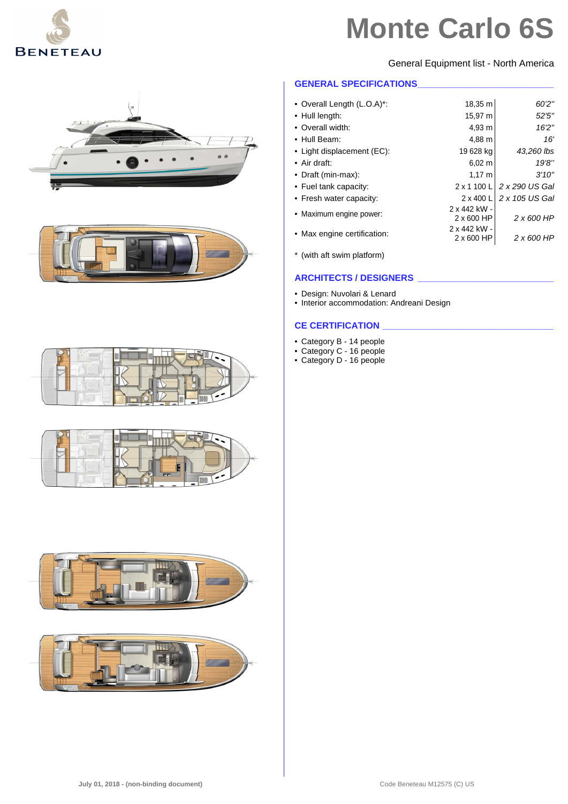

General Equipment list - North America

#### **GENERAL SPECIFICATIONS\_\_\_\_\_\_\_\_\_\_\_\_\_\_\_\_\_\_\_\_\_\_\_\_\_\_\_**

| • Overall Length (L.O.A)*:  | 18,35 m                    | 60'2"             |
|-----------------------------|----------------------------|-------------------|
| • Hull length:              | 15,97 m                    | 52'5''            |
| • Overall width:            | 4,93 m                     | 16'2"             |
| • Hull Beam:                | 4,88 m                     | 16'               |
| • Light displacement (EC):  | 19 628 kg                  | 43,260 lbs        |
| $\bullet$ Air draft:        | 6.02 m                     | 19'8''            |
| • Draft (min-max):          | $1,17 \; m$                | 3'10''            |
| • Fuel tank capacity:       | 2 x 1 100 L                | 2 x 290 US Gal    |
| • Fresh water capacity:     | 2 x 400 L                  | 2 x 105 US Gal    |
| • Maximum engine power:     | 2 x 442 kW -<br>2 x 600 HP | $2 \times 600$ HP |
| • Max engine certification: | 2 x 442 kW -<br>2 x 600 HP | 2 x 600 HP        |

\* (with aft swim platform)

### **ARCHITECTS / DESIGNERS \_\_\_\_\_\_\_\_\_\_\_\_\_\_\_\_\_\_\_\_\_\_\_\_\_\_\_**

- Design: Nuvolari & Lenard
- Interior accommodation: Andreani Design

#### **CE CERTIFICATION \_\_\_\_\_\_\_\_\_\_\_\_\_\_\_\_\_\_\_\_\_\_\_\_\_\_\_\_\_\_\_\_\_\_**

- Category B 14 people
- Category C 16 people
- Category D 16 people











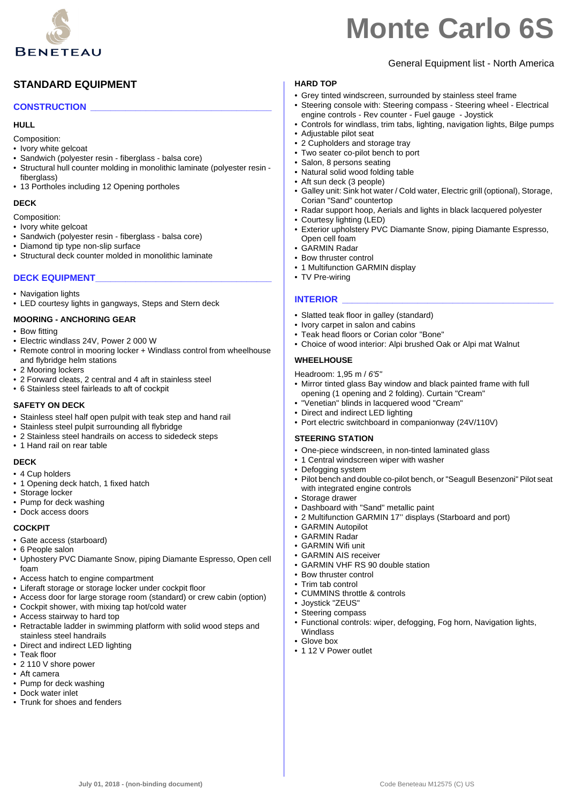

### General Equipment list - North America

#### **HARD TOP**

### **CONSTRUCTION \_\_\_\_\_\_\_\_\_\_\_\_\_\_\_\_\_\_\_\_\_\_\_\_\_\_\_\_\_\_\_\_\_\_\_\_**

**STANDARD EQUIPMENT**

#### **HULL**

Composition:

- Ivory white gelcoat
- Sandwich (polyester resin fiberglass balsa core)
- Structural hull counter molding in monolithic laminate (polyester resin fiberalass)
- 13 Portholes including 12 Opening portholes

#### **DECK**

Composition:

- Ivory white gelcoat • Sandwich (polyester resin - fiberglass - balsa core)
- Diamond tip type non-slip surface
- Structural deck counter molded in monolithic laminate

#### **DECK EQUIPMENT\_\_\_\_\_\_\_\_\_\_\_\_\_\_\_\_\_\_\_\_\_\_\_\_\_\_\_\_\_\_\_\_\_\_\_**

- Navigation lights
- LED courtesy lights in gangways, Steps and Stern deck

#### **MOORING - ANCHORING GEAR**

- Bow fitting
- Electric windlass 24V, Power 2 000 W
- Remote control in mooring locker + Windlass control from wheelhouse and flybridge helm stations
- 2 Mooring lockers
- 2 Forward cleats, 2 central and 4 aft in stainless steel
- 6 Stainless steel fairleads to aft of cockpit

#### **SAFETY ON DECK**

- Stainless steel half open pulpit with teak step and hand rail
- Stainless steel pulpit surrounding all flybridge
- 2 Stainless steel handrails on access to sidedeck steps
- 1 Hand rail on rear table

#### **DECK**

- 4 Cup holders
- 1 Opening deck hatch, 1 fixed hatch
- Storage locker
- Pump for deck washing
- Dock access doors

#### **COCKPIT**

- Gate access (starboard)
- 6 People salon
- Uphostery PVC Diamante Snow, piping Diamante Espresso, Open cell foam
- Access hatch to engine compartment
- Liferaft storage or storage locker under cockpit floor
- Access door for large storage room (standard) or crew cabin (option)
- Cockpit shower, with mixing tap hot/cold water
- Access stairway to hard top
- Retractable ladder in swimming platform with solid wood steps and stainless steel handrails
- Direct and indirect LED lighting
- Teak floor
- 2 110 V shore power
- Aft camera • Pump for deck washing
- Dock water inlet
- Trunk for shoes and fenders

- Grey tinted windscreen, surrounded by stainless steel frame
- Steering console with: Steering compass Steering wheel Electrical engine controls - Rev counter - Fuel gauge - Joystick
- Controls for windlass, trim tabs, lighting, navigation lights, Bilge pumps
- Adjustable pilot seat
- 2 Cupholders and storage tray • Two seater co-pilot bench to port
- 
- Salon, 8 persons seating • Natural solid wood folding table
- Aft sun deck (3 people)
- Galley unit: Sink hot water / Cold water, Electric grill (optional), Storage, Corian "Sand" countertop
- Radar support hoop, Aerials and lights in black lacquered polyester
- Courtesy lighting (LED)
- Exterior upholstery PVC Diamante Snow, piping Diamante Espresso, Open cell foam
- GARMIN Radar
- Bow thruster control
- 1 Multifunction GARMIN display
- TV Pre-wiring

#### **INTERIOR**

- Slatted teak floor in galley (standard)
- Ivory carpet in salon and cabins
- Teak head floors or Corian color "Bone"
- Choice of wood interior: Alpi brushed Oak or Alpi mat Walnut

#### **WHEELHOUSE**

Headroom: 1,95 m / *6'5''*

- Mirror tinted glass Bay window and black painted frame with full opening (1 opening and 2 folding). Curtain "Cream"
- "Venetian" blinds in lacquered wood "Cream"
- Direct and indirect LED lighting
- Port electric switchboard in companionway (24V/110V)

#### **STEERING STATION**

- One-piece windscreen, in non-tinted laminated glass
- 1 Central windscreen wiper with washer
- Defogging system
- Pilot bench and double co-pilot bench, or "Seagull Besenzoni" Pilot seat with integrated engine controls
- Storage drawer
- Dashboard with "Sand" metallic paint
- 2 Multifunction GARMIN 17'' displays (Starboard and port)
- GARMIN Autopilot
- GARMIN Radar
- GARMIN Wifi unit
- GARMIN AIS receiver
- GARMIN VHF RS 90 double station
- Bow thruster control
- Trim tab control
- CUMMINS throttle & controls
- Joystick "ZEUS"
- Steering compass

• 1 12 V Power outlet

**July 01, 2018 - (non-binding document)** Code Beneteau M12575 (C) US

• Functional controls: wiper, defogging, Fog horn, Navigation lights, Windlass • Glove box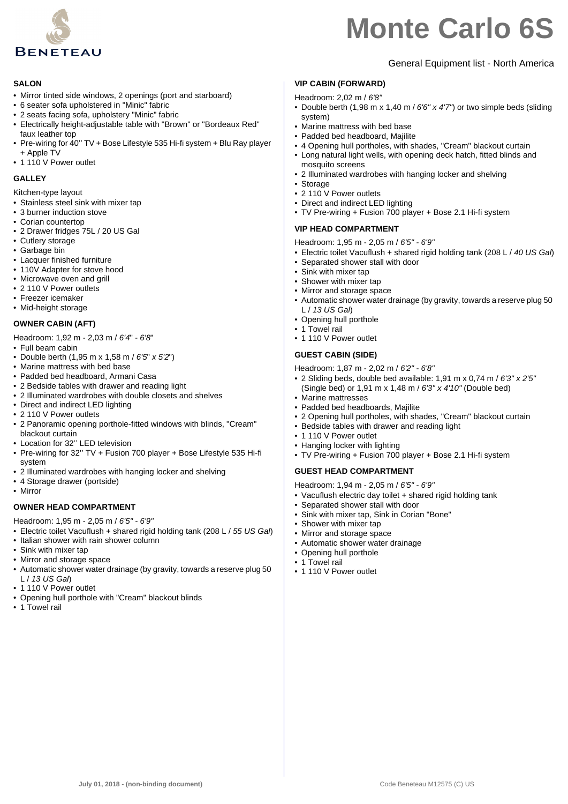

#### **SALON**

- Mirror tinted side windows, 2 openings (port and starboard)
- 6 seater sofa upholstered in "Minic" fabric
- 2 seats facing sofa, upholstery "Minic" fabric
- Electrically height-adjustable table with "Brown" or "Bordeaux Red" faux leather top
- Pre-wiring for 40'' TV + Bose Lifestyle 535 Hi-fi system + Blu Ray player + Apple TV
- 1 110 V Power outlet

#### **GALLEY**

Kitchen-type layout

- Stainless steel sink with mixer tap
- 3 burner induction stove
- Corian countertop
- 2 Drawer fridges 75L / 20 US Gal
- Cutlery storage
- Garbage bin
- Lacquer finished furniture
- 110V Adapter for stove hood
- Microwave oven and grill
- 2 110 V Power outlets
- Freezer icemaker
- Mid-height storage

#### **OWNER CABIN (AFT)**

- Headroom: 1,92 m 2,03 m / *6'4*" *6'8*"
- Full beam cabin
- Double berth (1,95 m x 1,58 m / *6'5*" *x 5'2*")
- Marine mattress with bed base
- Padded bed headboard, Armani Casa
- 2 Bedside tables with drawer and reading light
- 2 Illuminated wardrobes with double closets and shelves
- Direct and indirect LED lighting
- 2 110 V Power outlets
- 2 Panoramic opening porthole-fitted windows with blinds, "Cream" blackout curtain
- Location for 32'' LED television
- Pre-wiring for 32'' TV + Fusion 700 player + Bose Lifestyle 535 Hi-fi system
- 2 Illuminated wardrobes with hanging locker and shelving
- 4 Storage drawer (portside)
- Mirror

#### **OWNER HEAD COMPARTMENT**

Headroom: 1,95 m - 2,05 m / *6'5" - 6'9"*

- Electric toilet Vacuflush + shared rigid holding tank (208 L / *55 US Gal*)
- Italian shower with rain shower column
- Sink with mixer tap
- Mirror and storage space
- Automatic shower water drainage (by gravity, towards a reserve plug 50 L / *13 US Gal*)
- 1 110 V Power outlet
- Opening hull porthole with "Cream" blackout blinds
- 1 Towel rail

### General Equipment list - North America

#### **VIP CABIN (FORWARD)**

- Headroom: 2,02 m / *6'8"*
- Double berth (1,98 m x 1,40 m / *6'6" x 4'7"*) or two simple beds (sliding system)
- Marine mattress with bed base
- Padded bed headboard, Majilite
- 4 Opening hull portholes, with shades, "Cream" blackout curtain
- Long natural light wells, with opening deck hatch, fitted blinds and mosquito screens
- 2 Illuminated wardrobes with hanging locker and shelving
- Storage
- 2 110 V Power outlets
- Direct and indirect LED lighting • TV Pre-wiring + Fusion 700 player + Bose 2.1 Hi-fi system

#### **VIP HEAD COMPARTMENT**

Headroom: 1,95 m - 2,05 m / *6'5" - 6'9"*

- Electric toilet Vacuflush + shared rigid holding tank (208 L / *40 US Gal*)
- Separated shower stall with door
- Sink with mixer tap
- Shower with mixer tap
- Mirror and storage space
- Automatic shower water drainage (by gravity, towards a reserve plug 50 L / *13 US Gal*)
- Opening hull porthole
- 1 Towel rail
- 1 110 V Power outlet

#### **GUEST CABIN (SIDE)**

Headroom: 1,87 m - 2,02 m / *6'2" - 6'8"*

- 2 Sliding beds, double bed available: 1,91 m x 0,74 m / *6'3" x 2'5"*  (Single bed) or 1,91 m x 1,48 m / *6'3" x 4'10"* (Double bed)
- Marine mattresses
- Padded bed headboards, Majilite
- 2 Opening hull portholes, with shades, "Cream" blackout curtain • Bedside tables with drawer and reading light
- 1 110 V Power outlet
- Hanging locker with lighting
- TV Pre-wiring + Fusion 700 player + Bose 2.1 Hi-fi system

#### **GUEST HEAD COMPARTMENT**

Headroom: 1,94 m - 2,05 m / *6'5" - 6'9"*

- Vacuflush electric day toilet + shared rigid holding tank
- Separated shower stall with door
- Sink with mixer tap, Sink in Corian "Bone"
- Shower with mixer tap
- Mirror and storage space
- Automatic shower water drainage
- Opening hull porthole
- 1 Towel rail
- 1 110 V Power outlet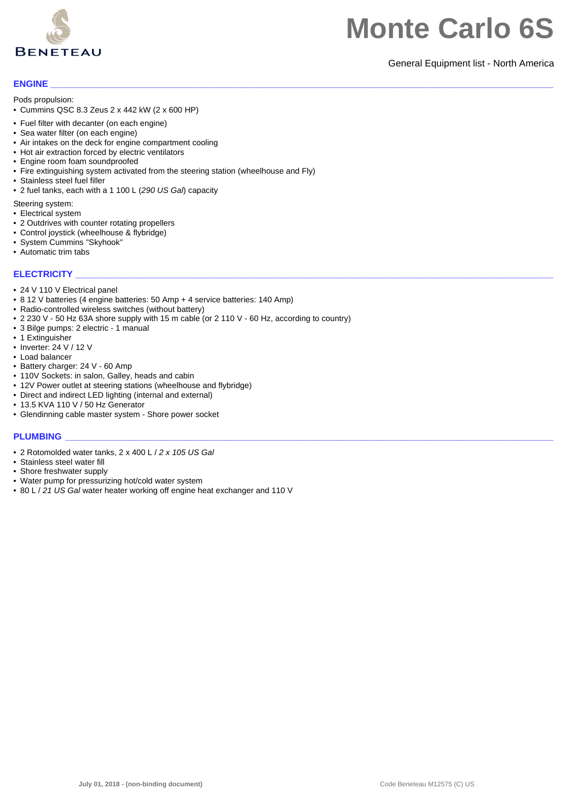

#### General Equipment list - North America

#### **ENGINE \_\_\_\_\_\_\_\_\_\_\_\_\_\_\_\_\_\_\_\_\_\_\_\_\_\_\_\_\_\_\_\_\_\_\_\_\_\_\_\_\_\_\_\_\_\_\_\_\_\_\_\_\_\_\_\_\_\_\_\_\_\_\_\_\_\_\_\_\_\_\_\_\_\_\_\_\_\_\_\_\_\_\_\_\_\_\_\_\_\_\_\_\_\_\_\_\_\_\_\_**

Pods propulsion:

- Cummins QSC 8.3 Zeus 2 x 442 kW (2 x 600 HP)
- Fuel filter with decanter (on each engine)
- Sea water filter (on each engine)
- Air intakes on the deck for engine compartment cooling
- Hot air extraction forced by electric ventilators
- Engine room foam soundproofed
- Fire extinguishing system activated from the steering station (wheelhouse and Fly)
- Stainless steel fuel filler
- 2 fuel tanks, each with a 1 100 L (*290 US Gal*) capacity

Steering system:

- Electrical system
- 2 Outdrives with counter rotating propellers
- Control joystick (wheelhouse & flybridge)
- System Cummins "Skyhook"
- Automatic trim tabs

#### **ELECTRICITY**

- 24 V 110 V Electrical panel
- 8 12 V batteries (4 engine batteries: 50 Amp + 4 service batteries: 140 Amp)
- Radio-controlled wireless switches (without battery)
- 2 230 V 50 Hz 63A shore supply with 15 m cable (or 2 110 V 60 Hz, according to country)
- 3 Bilge pumps: 2 electric 1 manual
- 1 Extinguisher
- Inverter: 24 V / 12 V
- Load balancer
- Battery charger: 24 V 60 Amp
- 110V Sockets: in salon, Galley, heads and cabin
- 12V Power outlet at steering stations (wheelhouse and flybridge)
- Direct and indirect LED lighting (internal and external)
- 13.5 KVA 110 V / 50 Hz Generator
- Glendinning cable master system Shore power socket

#### **PLUMBING \_\_\_\_\_\_\_\_\_\_\_\_\_\_\_\_\_\_\_\_\_\_\_\_\_\_\_\_\_\_\_\_\_\_\_\_\_\_\_\_\_\_\_\_\_\_\_\_\_\_\_\_\_\_\_\_\_\_\_\_\_\_\_\_\_\_\_\_\_\_\_\_\_\_\_\_\_\_\_\_\_\_\_\_\_\_\_\_\_\_\_\_\_\_\_\_\_**

- 2 Rotomolded water tanks, 2 x 400 L / *2 x 105 US Gal*
- Stainless steel water fill
- Shore freshwater supply
- Water pump for pressurizing hot/cold water system
- 80 L / *21 US Gal* water heater working off engine heat exchanger and 110 V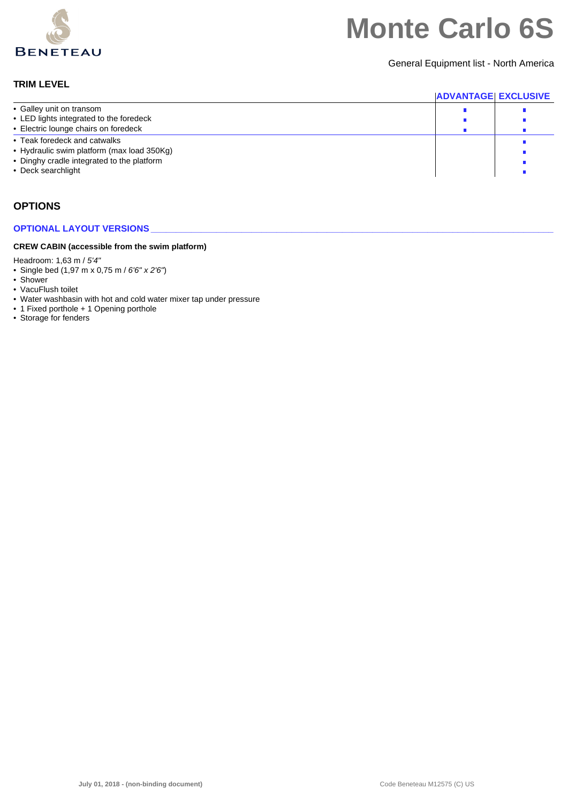

General Equipment list - North America

#### **TRIM LEVEL**

|                                                                                                                                                | <b>ADVANTAGE EXCLUSIVE</b> |  |
|------------------------------------------------------------------------------------------------------------------------------------------------|----------------------------|--|
| • Galley unit on transom                                                                                                                       |                            |  |
| • LED lights integrated to the foredeck                                                                                                        |                            |  |
| • Electric lounge chairs on foredeck                                                                                                           |                            |  |
| • Teak foredeck and catwalks<br>• Hydraulic swim platform (max load 350Kg)<br>• Dinghy cradle integrated to the platform<br>• Deck searchlight |                            |  |

### **OPTIONS**

#### **OPTIONAL LAYOUT VERSIONS**

#### **CREW CABIN (accessible from the swim platform)**

Headroom: 1,63 m / *5'4"*

- Single bed (1,97 m x 0,75 m / *6'6" x 2'6"*)
- Shower
- VacuFlush toilet
- Water washbasin with hot and cold water mixer tap under pressure
- 1 Fixed porthole + 1 Opening porthole
- Storage for fenders